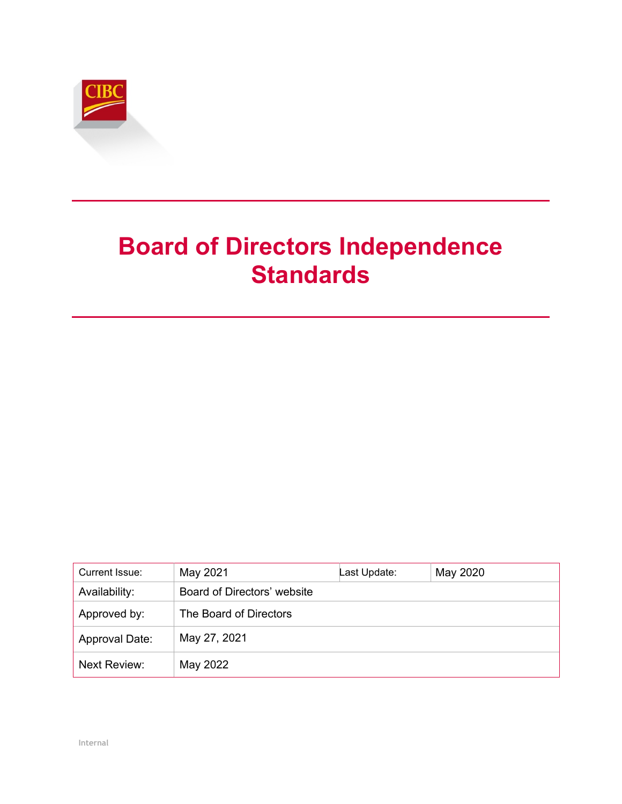

# **Board of Directors Independence Standards**

| Current Issue: | May 2021                    | Last Update: | May 2020 |
|----------------|-----------------------------|--------------|----------|
| Availability:  | Board of Directors' website |              |          |
| Approved by:   | The Board of Directors      |              |          |
| Approval Date: | May 27, 2021                |              |          |
| Next Review:   | May 2022                    |              |          |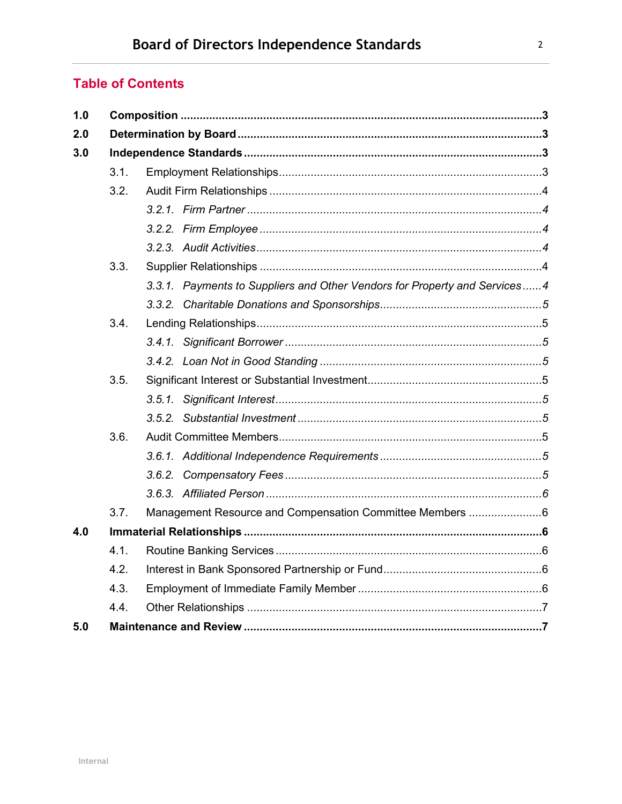## **Table of Contents**

| 1.0 |      |                                                                           |  |
|-----|------|---------------------------------------------------------------------------|--|
| 2.0 |      |                                                                           |  |
| 3.0 |      |                                                                           |  |
|     | 3.1. |                                                                           |  |
|     | 3.2. |                                                                           |  |
|     |      |                                                                           |  |
|     |      |                                                                           |  |
|     |      |                                                                           |  |
|     | 3.3. |                                                                           |  |
|     |      | 3.3.1. Payments to Suppliers and Other Vendors for Property and Services4 |  |
|     |      |                                                                           |  |
|     | 3.4. |                                                                           |  |
|     |      |                                                                           |  |
|     |      |                                                                           |  |
|     | 3.5. |                                                                           |  |
|     |      |                                                                           |  |
|     |      |                                                                           |  |
|     | 3.6. |                                                                           |  |
|     |      |                                                                           |  |
|     |      |                                                                           |  |
|     |      |                                                                           |  |
|     | 3.7. | Management Resource and Compensation Committee Members 6                  |  |
| 4.0 |      |                                                                           |  |
|     | 4.1. |                                                                           |  |
|     | 4.2. |                                                                           |  |
|     | 4.3. |                                                                           |  |
|     | 4.4. |                                                                           |  |
| 5.0 |      |                                                                           |  |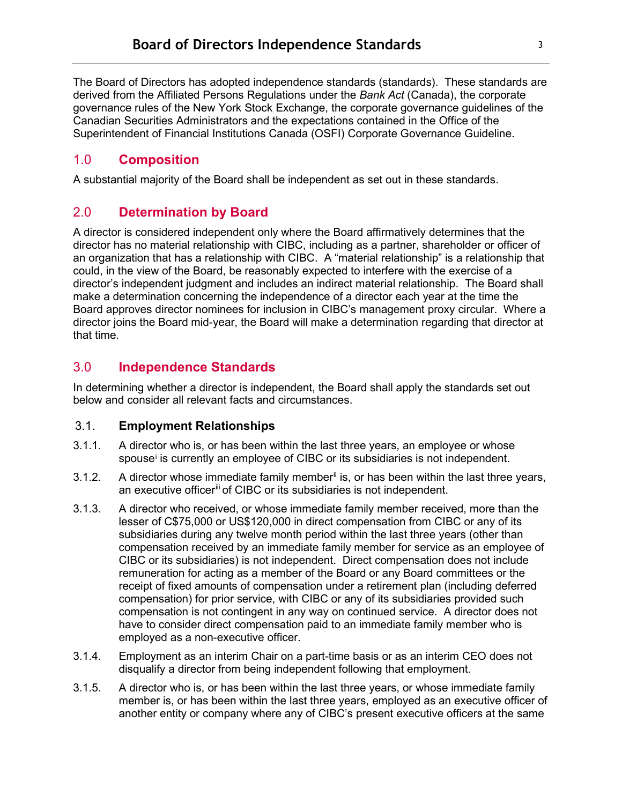## <span id="page-2-0"></span>1.0 **Composition**

<span id="page-2-1"></span>A substantial majority of the Board shall be independent as set out in these standards.

## 2.0 **Determination by Board**

A director is considered independent only where the Board affirmatively determines that the director has no material relationship with CIBC, including as a partner, shareholder or officer of an organization that has a relationship with CIBC. A "material relationship" is a relationship that could, in the view of the Board, be reasonably expected to interfere with the exercise of a director's independent judgment and includes an indirect material relationship. The Board shall make a determination concerning the independence of a director each year at the time the Board approves director nominees for inclusion in CIBC's management proxy circular. Where a director joins the Board mid-year, the Board will make a determination regarding that director at that time.

## <span id="page-2-2"></span>3.0 **Independence Standards**

In determining whether a director is independent, the Board shall apply the standards set out below and consider all relevant facts and circumstances.

#### <span id="page-2-3"></span>3.1. **Employment Relationships**

- 3.1.1. A director who is, or has been within the last three years, an employee or whose spouse<sup>[i](#page-6-2)</sup> is currently an employee of CIBC or its subsidiaries is not independent.
- 3.1.2. A director whose immediate family member<sup>ii</sup> is, or has been within the last three years, an executive officer<sup>[iii](#page-6-4)</sup> of CIBC or its subsidiaries is not independent.
- 3.1.3. A director who received, or whose immediate family member received, more than the lesser of C\$75,000 or US\$120,000 in direct compensation from CIBC or any of its subsidiaries during any twelve month period within the last three years (other than compensation received by an immediate family member for service as an employee of CIBC or its subsidiaries) is not independent. Direct compensation does not include remuneration for acting as a member of the Board or any Board committees or the receipt of fixed amounts of compensation under a retirement plan (including deferred compensation) for prior service, with CIBC or any of its subsidiaries provided such compensation is not contingent in any way on continued service. A director does not have to consider direct compensation paid to an immediate family member who is employed as a non-executive officer.
- 3.1.4. Employment as an interim Chair on a part-time basis or as an interim CEO does not disqualify a director from being independent following that employment.
- 3.1.5. A director who is, or has been within the last three years, or whose immediate family member is, or has been within the last three years, employed as an executive officer of another entity or company where any of CIBC's present executive officers at the same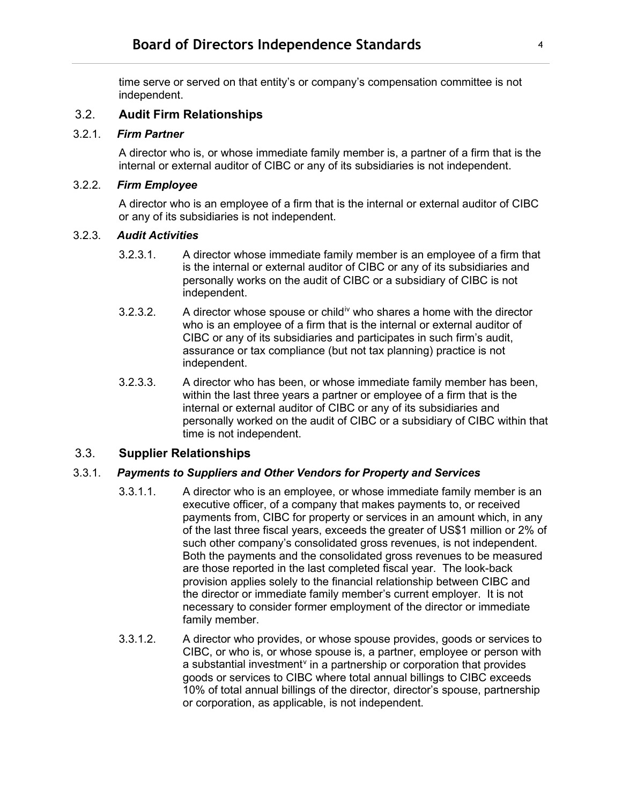time serve or served on that entity's or company's compensation committee is not independent.

#### <span id="page-3-0"></span>3.2. **Audit Firm Relationships**

#### <span id="page-3-1"></span>3.2.1. *Firm Partner*

A director who is, or whose immediate family member is, a partner of a firm that is the internal or external auditor of CIBC or any of its subsidiaries is not independent.

#### <span id="page-3-2"></span>3.2.2. *Firm Employee*

A director who is an employee of a firm that is the internal or external auditor of CIBC or any of its subsidiaries is not independent.

#### <span id="page-3-3"></span>3.2.3. *Audit Activities*

- 3.2.3.1. A director whose immediate family member is an employee of a firm that is the internal or external auditor of CIBC or any of its subsidiaries and personally works on the audit of CIBC or a subsidiary of CIBC is not independent.
- 3.2.3.2. A director whose spouse or child<sup>[iv](#page-6-5)</sup> who shares a home with the director who is an employee of a firm that is the internal or external auditor of CIBC or any of its subsidiaries and participates in such firm's audit, assurance or tax compliance (but not tax planning) practice is not independent.
- 3.2.3.3. A director who has been, or whose immediate family member has been, within the last three years a partner or employee of a firm that is the internal or external auditor of CIBC or any of its subsidiaries and personally worked on the audit of CIBC or a subsidiary of CIBC within that time is not independent.

#### <span id="page-3-4"></span>3.3. **Supplier Relationships**

#### <span id="page-3-5"></span>3.3.1. *Payments to Suppliers and Other Vendors for Property and Services*

- 3.3.1.1. A director who is an employee, or whose immediate family member is an executive officer, of a company that makes payments to, or received payments from, CIBC for property or services in an amount which, in any of the last three fiscal years, exceeds the greater of US\$1 million or 2% of such other company's consolidated gross revenues, is not independent. Both the payments and the consolidated gross revenues to be measured are those reported in the last completed fiscal year. The look-back provision applies solely to the financial relationship between CIBC and the director or immediate family member's current employer. It is not necessary to consider former employment of the director or immediate family member.
- 3.3.1.2. A director who provides, or whose spouse provides, goods or services to CIBC, or who is, or whose spouse is, a partner, employee or person with a substantial in[v](#page-6-6)estment<sup>y</sup> in a partnership or corporation that provides goods or services to CIBC where total annual billings to CIBC exceeds 10% of total annual billings of the director, director's spouse, partnership or corporation, as applicable, is not independent.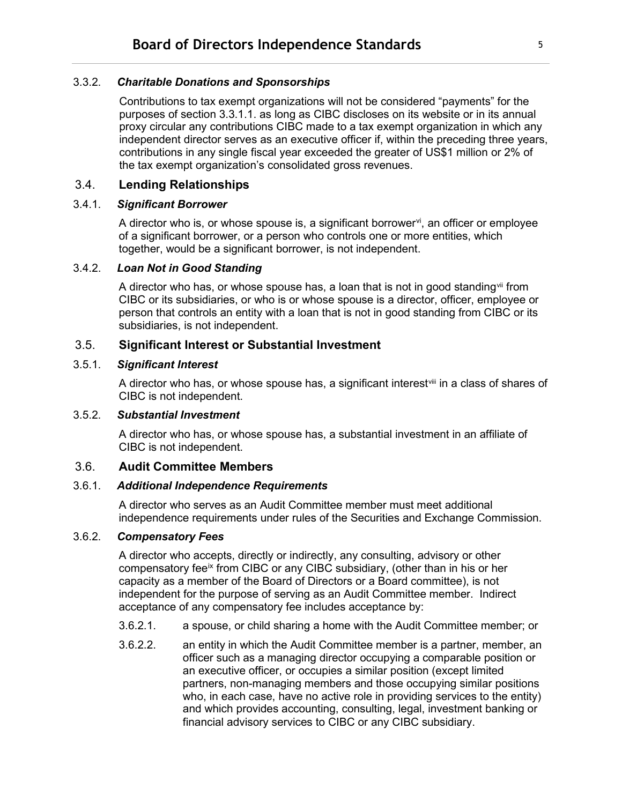#### <span id="page-4-0"></span>3.3.2. *Charitable Donations and Sponsorships*

Contributions to tax exempt organizations will not be considered "payments" for the purposes of section 3.3.1.1. as long as CIBC discloses on its website or in its annual proxy circular any contributions CIBC made to a tax exempt organization in which any independent director serves as an executive officer if, within the preceding three years, contributions in any single fiscal year exceeded the greater of US\$1 million or 2% of the tax exempt organization's consolidated gross revenues.

#### <span id="page-4-1"></span>3.4. **Lending Relationships**

#### <span id="page-4-2"></span>3.4.1. *Significant Borrower*

A director who is, or whose spouse is, a significant borrower $\dot{v}$ , an officer or employee of a significant borrower, or a person who controls one or more entities, which together, would be a significant borrower, is not independent.

#### <span id="page-4-3"></span>3.4.2. *Loan Not in Good Standing*

A director who has, or whose spouse has, a loan that is not in good standing  $\sin$  from CIBC or its subsidiaries, or who is or whose spouse is a director, officer, employee or person that controls an entity with a loan that is not in good standing from CIBC or its subsidiaries, is not independent.

#### <span id="page-4-4"></span>3.5. **Significant Interest or Substantial Investment**

#### <span id="page-4-5"></span>3.5.1. *Significant Interest*

A director who has, or whose spouse has, a significant interest[viii](#page-6-9) in a class of shares of CIBC is not independent.

#### <span id="page-4-6"></span>3.5.2. *Substantial Investment*

A director who has, or whose spouse has, a substantial investment in an affiliate of CIBC is not independent.

#### <span id="page-4-7"></span>3.6. **Audit Committee Members**

#### <span id="page-4-8"></span>3.6.1. *Additional Independence Requirements*

A director who serves as an Audit Committee member must meet additional independence requirements under rules of the Securities and Exchange Commission.

#### <span id="page-4-9"></span>3.6.2. *Compensatory Fees*

A director who accepts, directly or indirectly, any consulting, advisory or other compensatory fee<sup>[ix](#page-6-10)</sup> from CIBC or any CIBC subsidiary, (other than in his or her capacity as a member of the Board of Directors or a Board committee), is not independent for the purpose of serving as an Audit Committee member. Indirect acceptance of any compensatory fee includes acceptance by:

- 3.6.2.1. a spouse, or child sharing a home with the Audit Committee member; or
- 3.6.2.2. an entity in which the Audit Committee member is a partner, member, an officer such as a managing director occupying a comparable position or an executive officer, or occupies a similar position (except limited partners, non-managing members and those occupying similar positions who, in each case, have no active role in providing services to the entity) and which provides accounting, consulting, legal, investment banking or financial advisory services to CIBC or any CIBC subsidiary.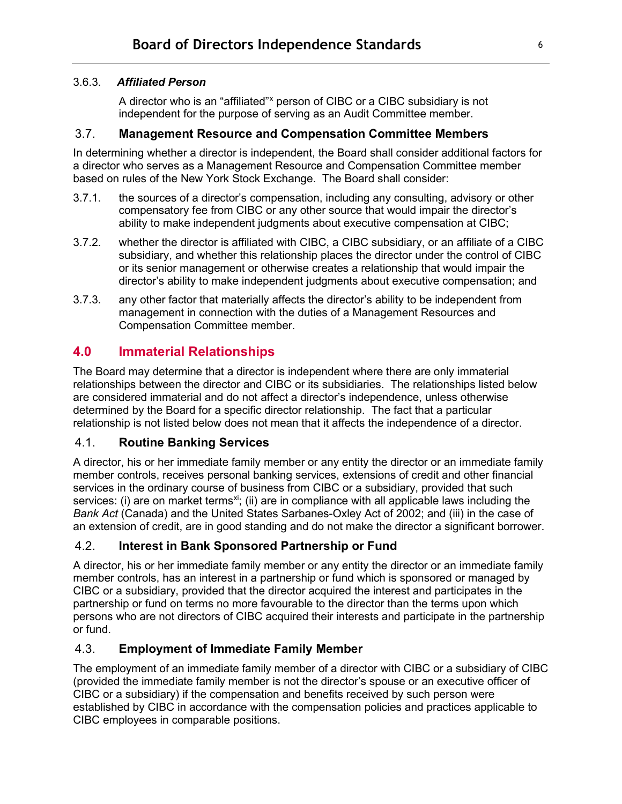#### <span id="page-5-0"></span>3.6.3. *Affiliated Person*

A director who is an "affiliated"<sup>[x](#page-6-11)</sup> person of CIBC or a CIBC subsidiary is not independent for the purpose of serving as an Audit Committee member.

#### <span id="page-5-1"></span>3.7. **Management Resource and Compensation Committee Members**

In determining whether a director is independent, the Board shall consider additional factors for a director who serves as a Management Resource and Compensation Committee member based on rules of the New York Stock Exchange. The Board shall consider:

- 3.7.1. the sources of a director's compensation, including any consulting, advisory or other compensatory fee from CIBC or any other source that would impair the director's ability to make independent judgments about executive compensation at CIBC;
- 3.7.2. whether the director is affiliated with CIBC, a CIBC subsidiary, or an affiliate of a CIBC subsidiary, and whether this relationship places the director under the control of CIBC or its senior management or otherwise creates a relationship that would impair the director's ability to make independent judgments about executive compensation; and
- 3.7.3. any other factor that materially affects the director's ability to be independent from management in connection with the duties of a Management Resources and Compensation Committee member.

## <span id="page-5-2"></span>**4.0 Immaterial Relationships**

The Board may determine that a director is independent where there are only immaterial relationships between the director and CIBC or its subsidiaries. The relationships listed below are considered immaterial and do not affect a director's independence, unless otherwise determined by the Board for a specific director relationship. The fact that a particular relationship is not listed below does not mean that it affects the independence of a director.

#### <span id="page-5-3"></span>4.1. **Routine Banking Services**

A director, his or her immediate family member or any entity the director or an immediate family member controls, receives personal banking services, extensions of credit and other financial services in the ordinary course of business from CIBC or a subsidiary, provided that such services: (i) are on market terms<sup>[xi](#page-6-12)</sup>; (ii) are in compliance with all applicable laws including the *Bank Act* (Canada) and the United States Sarbanes-Oxley Act of 2002; and (iii) in the case of an extension of credit, are in good standing and do not make the director a significant borrower.

#### <span id="page-5-4"></span>4.2. **Interest in Bank Sponsored Partnership or Fund**

A director, his or her immediate family member or any entity the director or an immediate family member controls, has an interest in a partnership or fund which is sponsored or managed by CIBC or a subsidiary, provided that the director acquired the interest and participates in the partnership or fund on terms no more favourable to the director than the terms upon which persons who are not directors of CIBC acquired their interests and participate in the partnership or fund.

#### <span id="page-5-5"></span>4.3. **Employment of Immediate Family Member**

The employment of an immediate family member of a director with CIBC or a subsidiary of CIBC (provided the immediate family member is not the director's spouse or an executive officer of CIBC or a subsidiary) if the compensation and benefits received by such person were established by CIBC in accordance with the compensation policies and practices applicable to CIBC employees in comparable positions.